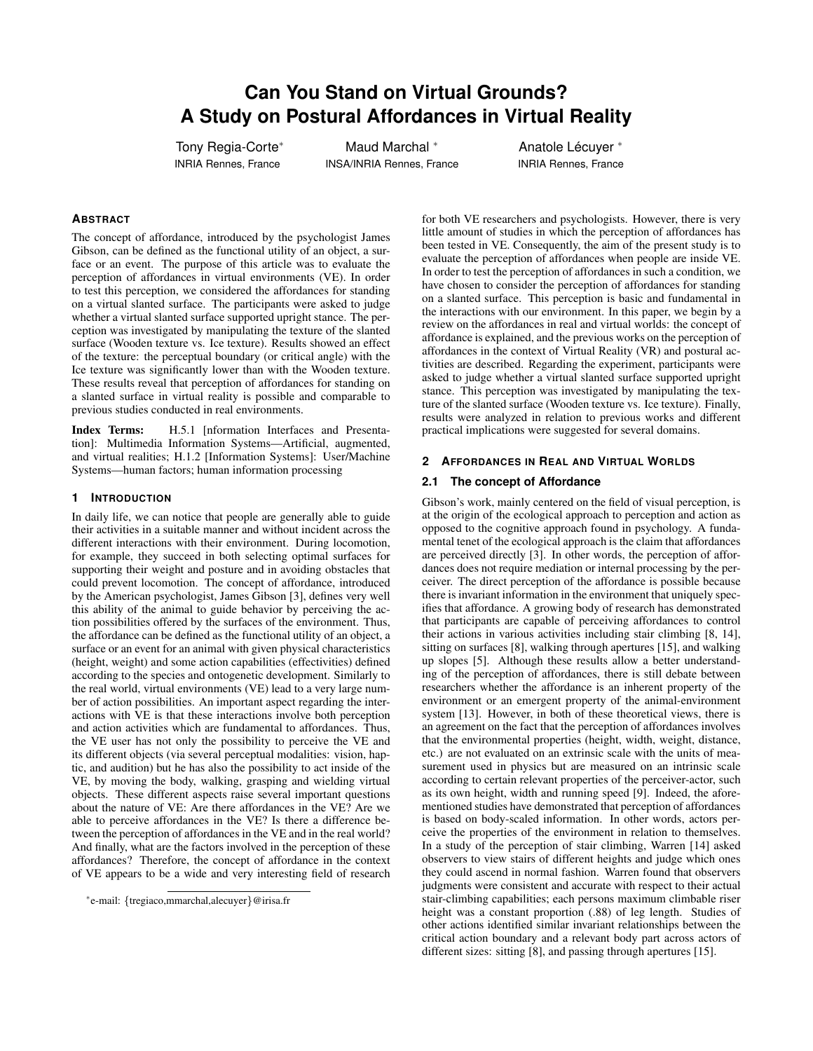# **Can You Stand on Virtual Grounds? A Study on Postural Affordances in Virtual Reality**

Tony Regia-Corte<sup>∗</sup> INRIA Rennes, France

Maud Marchal <sup>∗</sup> INSA/INRIA Rennes, France

Anatole Lécuyer \* INRIA Rennes, France

## **ABSTRACT**

The concept of affordance, introduced by the psychologist James Gibson, can be defined as the functional utility of an object, a surface or an event. The purpose of this article was to evaluate the perception of affordances in virtual environments (VE). In order to test this perception, we considered the affordances for standing on a virtual slanted surface. The participants were asked to judge whether a virtual slanted surface supported upright stance. The perception was investigated by manipulating the texture of the slanted surface (Wooden texture vs. Ice texture). Results showed an effect of the texture: the perceptual boundary (or critical angle) with the Ice texture was significantly lower than with the Wooden texture. These results reveal that perception of affordances for standing on a slanted surface in virtual reality is possible and comparable to previous studies conducted in real environments.

Index Terms: H.5.1 [nformation Interfaces and Presentation]: Multimedia Information Systems—Artificial, augmented, and virtual realities; H.1.2 [Information Systems]: User/Machine Systems—human factors; human information processing

#### **1 INTRODUCTION**

In daily life, we can notice that people are generally able to guide their activities in a suitable manner and without incident across the different interactions with their environment. During locomotion, for example, they succeed in both selecting optimal surfaces for supporting their weight and posture and in avoiding obstacles that could prevent locomotion. The concept of affordance, introduced by the American psychologist, James Gibson [3], defines very well this ability of the animal to guide behavior by perceiving the action possibilities offered by the surfaces of the environment. Thus, the affordance can be defined as the functional utility of an object, a surface or an event for an animal with given physical characteristics (height, weight) and some action capabilities (effectivities) defined according to the species and ontogenetic development. Similarly to the real world, virtual environments (VE) lead to a very large number of action possibilities. An important aspect regarding the interactions with VE is that these interactions involve both perception and action activities which are fundamental to affordances. Thus, the VE user has not only the possibility to perceive the VE and its different objects (via several perceptual modalities: vision, haptic, and audition) but he has also the possibility to act inside of the VE, by moving the body, walking, grasping and wielding virtual objects. These different aspects raise several important questions about the nature of VE: Are there affordances in the VE? Are we able to perceive affordances in the VE? Is there a difference between the perception of affordances in the VE and in the real world? And finally, what are the factors involved in the perception of these affordances? Therefore, the concept of affordance in the context of VE appears to be a wide and very interesting field of research

for both VE researchers and psychologists. However, there is very little amount of studies in which the perception of affordances has been tested in VE. Consequently, the aim of the present study is to evaluate the perception of affordances when people are inside VE. In order to test the perception of affordances in such a condition, we have chosen to consider the perception of affordances for standing on a slanted surface. This perception is basic and fundamental in the interactions with our environment. In this paper, we begin by a review on the affordances in real and virtual worlds: the concept of affordance is explained, and the previous works on the perception of affordances in the context of Virtual Reality (VR) and postural activities are described. Regarding the experiment, participants were asked to judge whether a virtual slanted surface supported upright stance. This perception was investigated by manipulating the texture of the slanted surface (Wooden texture vs. Ice texture). Finally, results were analyzed in relation to previous works and different practical implications were suggested for several domains.

#### **2 AFFORDANCES IN REAL AND VIRTUAL WORLDS**

## **2.1 The concept of Affordance**

Gibson's work, mainly centered on the field of visual perception, is at the origin of the ecological approach to perception and action as opposed to the cognitive approach found in psychology. A fundamental tenet of the ecological approach is the claim that affordances are perceived directly [3]. In other words, the perception of affordances does not require mediation or internal processing by the perceiver. The direct perception of the affordance is possible because there is invariant information in the environment that uniquely specifies that affordance. A growing body of research has demonstrated that participants are capable of perceiving affordances to control their actions in various activities including stair climbing [8, 14], sitting on surfaces [8], walking through apertures [15], and walking up slopes [5]. Although these results allow a better understanding of the perception of affordances, there is still debate between researchers whether the affordance is an inherent property of the environment or an emergent property of the animal-environment system [13]. However, in both of these theoretical views, there is an agreement on the fact that the perception of affordances involves that the environmental properties (height, width, weight, distance, etc.) are not evaluated on an extrinsic scale with the units of measurement used in physics but are measured on an intrinsic scale according to certain relevant properties of the perceiver-actor, such as its own height, width and running speed [9]. Indeed, the aforementioned studies have demonstrated that perception of affordances is based on body-scaled information. In other words, actors perceive the properties of the environment in relation to themselves. In a study of the perception of stair climbing, Warren [14] asked observers to view stairs of different heights and judge which ones they could ascend in normal fashion. Warren found that observers judgments were consistent and accurate with respect to their actual stair-climbing capabilities; each persons maximum climbable riser height was a constant proportion (.88) of leg length. Studies of other actions identified similar invariant relationships between the critical action boundary and a relevant body part across actors of different sizes: sitting [8], and passing through apertures [15].

<sup>∗</sup> e-mail: {tregiaco,mmarchal,alecuyer}@irisa.fr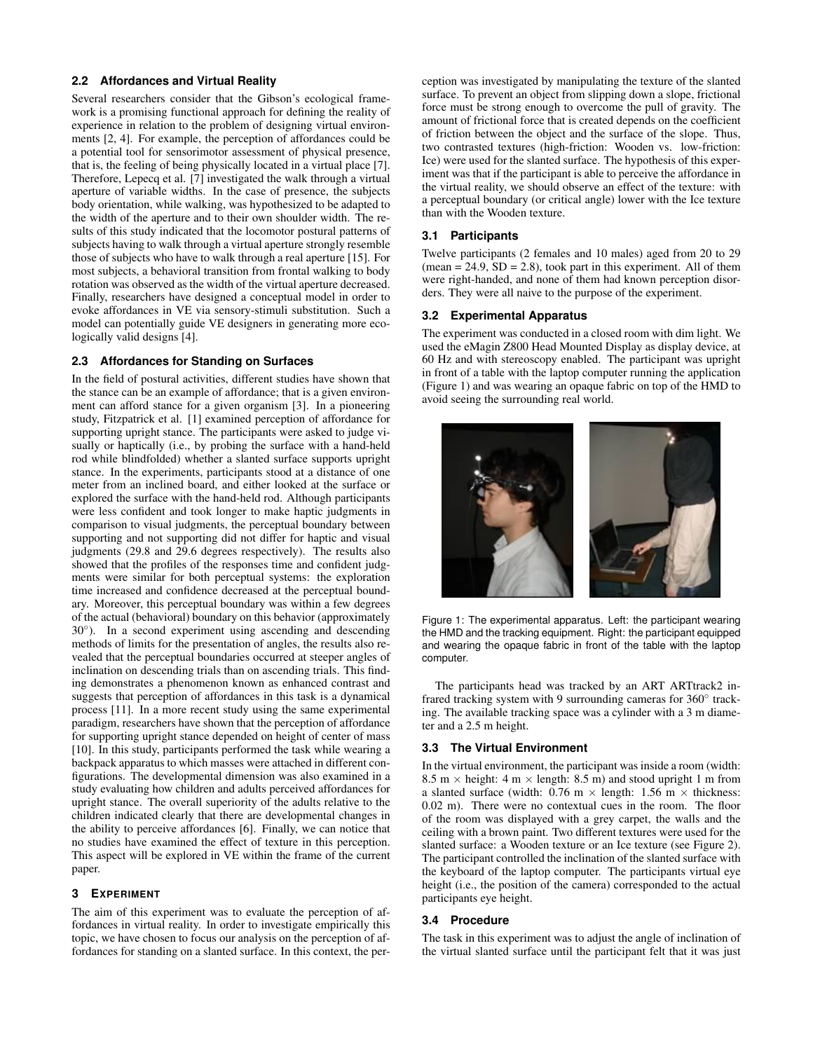## **2.2 Affordances and Virtual Reality**

Several researchers consider that the Gibson's ecological framework is a promising functional approach for defining the reality of experience in relation to the problem of designing virtual environments [2, 4]. For example, the perception of affordances could be a potential tool for sensorimotor assessment of physical presence, that is, the feeling of being physically located in a virtual place [7]. Therefore, Lepecq et al. [7] investigated the walk through a virtual aperture of variable widths. In the case of presence, the subjects body orientation, while walking, was hypothesized to be adapted to the width of the aperture and to their own shoulder width. The results of this study indicated that the locomotor postural patterns of subjects having to walk through a virtual aperture strongly resemble those of subjects who have to walk through a real aperture [15]. For most subjects, a behavioral transition from frontal walking to body rotation was observed as the width of the virtual aperture decreased. Finally, researchers have designed a conceptual model in order to evoke affordances in VE via sensory-stimuli substitution. Such a model can potentially guide VE designers in generating more ecologically valid designs [4].

#### **2.3 Affordances for Standing on Surfaces**

In the field of postural activities, different studies have shown that the stance can be an example of affordance; that is a given environment can afford stance for a given organism [3]. In a pioneering study, Fitzpatrick et al. [1] examined perception of affordance for supporting upright stance. The participants were asked to judge visually or haptically (i.e., by probing the surface with a hand-held rod while blindfolded) whether a slanted surface supports upright stance. In the experiments, participants stood at a distance of one meter from an inclined board, and either looked at the surface or explored the surface with the hand-held rod. Although participants were less confident and took longer to make haptic judgments in comparison to visual judgments, the perceptual boundary between supporting and not supporting did not differ for haptic and visual judgments (29.8 and 29.6 degrees respectively). The results also showed that the profiles of the responses time and confident judgments were similar for both perceptual systems: the exploration time increased and confidence decreased at the perceptual boundary. Moreover, this perceptual boundary was within a few degrees of the actual (behavioral) boundary on this behavior (approximately 30°). In a second experiment using ascending and descending methods of limits for the presentation of angles, the results also revealed that the perceptual boundaries occurred at steeper angles of inclination on descending trials than on ascending trials. This finding demonstrates a phenomenon known as enhanced contrast and suggests that perception of affordances in this task is a dynamical process [11]. In a more recent study using the same experimental paradigm, researchers have shown that the perception of affordance for supporting upright stance depended on height of center of mass [10]. In this study, participants performed the task while wearing a backpack apparatus to which masses were attached in different configurations. The developmental dimension was also examined in a study evaluating how children and adults perceived affordances for upright stance. The overall superiority of the adults relative to the children indicated clearly that there are developmental changes in the ability to perceive affordances [6]. Finally, we can notice that no studies have examined the effect of texture in this perception. This aspect will be explored in VE within the frame of the current paper.

# **3 EXPERIMENT**

The aim of this experiment was to evaluate the perception of affordances in virtual reality. In order to investigate empirically this topic, we have chosen to focus our analysis on the perception of affordances for standing on a slanted surface. In this context, the perception was investigated by manipulating the texture of the slanted surface. To prevent an object from slipping down a slope, frictional force must be strong enough to overcome the pull of gravity. The amount of frictional force that is created depends on the coefficient of friction between the object and the surface of the slope. Thus, two contrasted textures (high-friction: Wooden vs. low-friction: Ice) were used for the slanted surface. The hypothesis of this experiment was that if the participant is able to perceive the affordance in the virtual reality, we should observe an effect of the texture: with a perceptual boundary (or critical angle) lower with the Ice texture than with the Wooden texture.

#### **3.1 Participants**

Twelve participants (2 females and 10 males) aged from 20 to 29  $(\text{mean} = 24.9, SD = 2.8)$ , took part in this experiment. All of them were right-handed, and none of them had known perception disorders. They were all naive to the purpose of the experiment.

## **3.2 Experimental Apparatus**

The experiment was conducted in a closed room with dim light. We used the eMagin Z800 Head Mounted Display as display device, at 60 Hz and with stereoscopy enabled. The participant was upright in front of a table with the laptop computer running the application (Figure 1) and was wearing an opaque fabric on top of the HMD to avoid seeing the surrounding real world.



Figure 1: The experimental apparatus. Left: the participant wearing the HMD and the tracking equipment. Right: the participant equipped and wearing the opaque fabric in front of the table with the laptop computer.

The participants head was tracked by an ART ARTtrack2 infrared tracking system with 9 surrounding cameras for 360° tracking. The available tracking space was a cylinder with a 3 m diameter and a 2.5 m height.

#### **3.3 The Virtual Environment**

In the virtual environment, the participant was inside a room (width: 8.5 m  $\times$  height: 4 m  $\times$  length: 8.5 m) and stood upright 1 m from a slanted surface (width:  $0.76$  m  $\times$  length: 1.56 m  $\times$  thickness: 0.02 m). There were no contextual cues in the room. The floor of the room was displayed with a grey carpet, the walls and the ceiling with a brown paint. Two different textures were used for the slanted surface: a Wooden texture or an Ice texture (see Figure 2). The participant controlled the inclination of the slanted surface with the keyboard of the laptop computer. The participants virtual eye height (i.e., the position of the camera) corresponded to the actual participants eye height.

## **3.4 Procedure**

The task in this experiment was to adjust the angle of inclination of the virtual slanted surface until the participant felt that it was just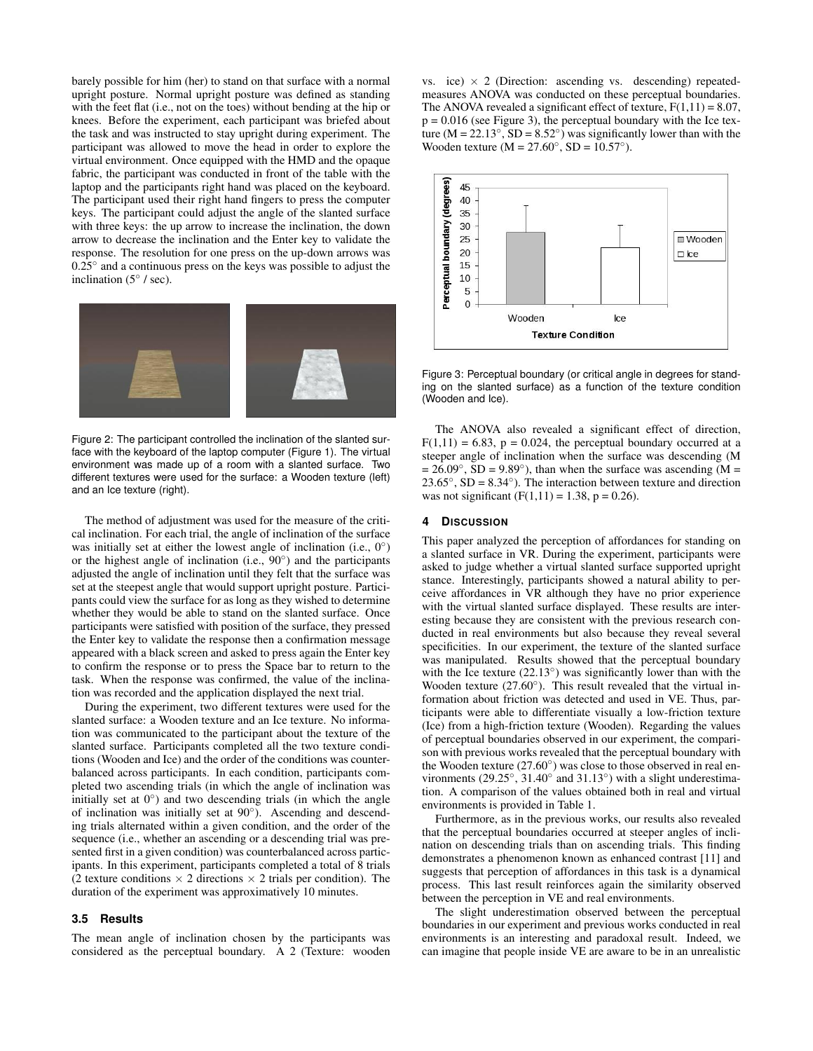barely possible for him (her) to stand on that surface with a normal upright posture. Normal upright posture was defined as standing with the feet flat (i.e., not on the toes) without bending at the hip or knees. Before the experiment, each participant was briefed about the task and was instructed to stay upright during experiment. The participant was allowed to move the head in order to explore the virtual environment. Once equipped with the HMD and the opaque fabric, the participant was conducted in front of the table with the laptop and the participants right hand was placed on the keyboard. The participant used their right hand fingers to press the computer keys. The participant could adjust the angle of the slanted surface with three keys: the up arrow to increase the inclination, the down arrow to decrease the inclination and the Enter key to validate the response. The resolution for one press on the up-down arrows was  $0.25^\circ$  and a continuous press on the keys was possible to adjust the inclination  $(5° / sec)$ .



Figure 2: The participant controlled the inclination of the slanted surface with the keyboard of the laptop computer (Figure 1). The virtual environment was made up of a room with a slanted surface. Two different textures were used for the surface: a Wooden texture (left) and an Ice texture (right).

The method of adjustment was used for the measure of the critical inclination. For each trial, the angle of inclination of the surface was initially set at either the lowest angle of inclination (i.e.,  $0^\circ$ ) or the highest angle of inclination (i.e.,  $90^\circ$ ) and the participants adjusted the angle of inclination until they felt that the surface was set at the steepest angle that would support upright posture. Participants could view the surface for as long as they wished to determine whether they would be able to stand on the slanted surface. Once participants were satisfied with position of the surface, they pressed the Enter key to validate the response then a confirmation message appeared with a black screen and asked to press again the Enter key to confirm the response or to press the Space bar to return to the task. When the response was confirmed, the value of the inclination was recorded and the application displayed the next trial.

During the experiment, two different textures were used for the slanted surface: a Wooden texture and an Ice texture. No information was communicated to the participant about the texture of the slanted surface. Participants completed all the two texture conditions (Wooden and Ice) and the order of the conditions was counterbalanced across participants. In each condition, participants completed two ascending trials (in which the angle of inclination was initially set at  $0°$ ) and two descending trials (in which the angle of inclination was initially set at 90°). Ascending and descending trials alternated within a given condition, and the order of the sequence (i.e., whether an ascending or a descending trial was presented first in a given condition) was counterbalanced across participants. In this experiment, participants completed a total of 8 trials (2 texture conditions  $\times$  2 directions  $\times$  2 trials per condition). The duration of the experiment was approximatively 10 minutes.

## **3.5 Results**

The mean angle of inclination chosen by the participants was considered as the perceptual boundary. A 2 (Texture: wooden vs. ice)  $\times$  2 (Direction: ascending vs. descending) repeatedmeasures ANOVA was conducted on these perceptual boundaries. The ANOVA revealed a significant effect of texture,  $F(1,11) = 8.07$ ,  $p = 0.016$  (see Figure 3), the perceptual boundary with the Ice texture  $(M = 22.13^\circ, SD = 8.52^\circ)$  was significantly lower than with the Wooden texture  $(M = 27.60°, SD = 10.57°)$ .



Figure 3: Perceptual boundary (or critical angle in degrees for standing on the slanted surface) as a function of the texture condition (Wooden and Ice).

The ANOVA also revealed a significant effect of direction,  $F(1,11) = 6.83$ ,  $p = 0.024$ , the perceptual boundary occurred at a steeper angle of inclination when the surface was descending (M  $= 26.09^\circ$ , SD = 9.89 $^\circ$ ), than when the surface was ascending (M =  $23.65°$ ,  $SD = 8.34°$ ). The interaction between texture and direction was not significant  $(F(1,11) = 1.38, p = 0.26)$ .

#### **4 DISCUSSION**

This paper analyzed the perception of affordances for standing on a slanted surface in VR. During the experiment, participants were asked to judge whether a virtual slanted surface supported upright stance. Interestingly, participants showed a natural ability to perceive affordances in VR although they have no prior experience with the virtual slanted surface displayed. These results are interesting because they are consistent with the previous research conducted in real environments but also because they reveal several specificities. In our experiment, the texture of the slanted surface was manipulated. Results showed that the perceptual boundary with the Ice texture  $(22.13°)$  was significantly lower than with the Wooden texture (27.60<sup>°</sup>). This result revealed that the virtual information about friction was detected and used in VE. Thus, participants were able to differentiate visually a low-friction texture (Ice) from a high-friction texture (Wooden). Regarding the values of perceptual boundaries observed in our experiment, the comparison with previous works revealed that the perceptual boundary with the Wooden texture  $(27.60°)$  was close to those observed in real environments  $(29.25^\circ, 31.40^\circ \text{ and } 31.13^\circ)$  with a slight underestimation. A comparison of the values obtained both in real and virtual environments is provided in Table 1.

Furthermore, as in the previous works, our results also revealed that the perceptual boundaries occurred at steeper angles of inclination on descending trials than on ascending trials. This finding demonstrates a phenomenon known as enhanced contrast [11] and suggests that perception of affordances in this task is a dynamical process. This last result reinforces again the similarity observed between the perception in VE and real environments.

The slight underestimation observed between the perceptual boundaries in our experiment and previous works conducted in real environments is an interesting and paradoxal result. Indeed, we can imagine that people inside VE are aware to be in an unrealistic